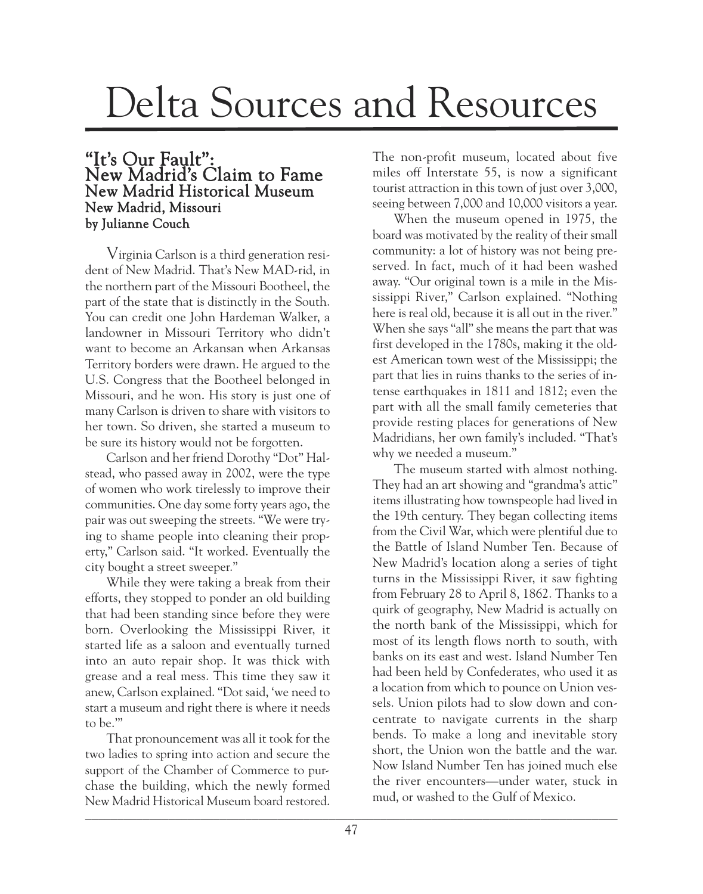## Delta Sources and Resources

## "It's Our Fault": New Madrid's Claim to Fame New Madrid Historical Museum New Madrid, Missouri by Julianne Couch

Virginia Carlson is a third generation resident of New Madrid. That's New MAD-rid, in the northern part of the Missouri Bootheel, the part of the state that is distinctly in the South. You can credit one John Hardeman Walker, a landowner in Missouri Territory who didn't want to become an Arkansan when Arkansas Territory borders were drawn. He argued to the U.S. Congress that the Bootheel belonged in Missouri, and he won. His story is just one of many Carlson is driven to share with visitors to her town. So driven, she started a museum to be sure its history would not be forgotten.

Carlson and her friend Dorothy "Dot" Halstead, who passed away in 2002, were the type of women who work tirelessly to improve their communities. One day some forty years ago, the pair was out sweeping the streets. "We were trying to shame people into cleaning their property," Carlson said. "It worked. Eventually the city bought a street sweeper."

While they were taking a break from their efforts, they stopped to ponder an old building that had been standing since before they were born. Overlooking the Mississippi River, it started life as a saloon and eventually turned into an auto repair shop. It was thick with grease and a real mess. This time they saw it anew, Carlson explained. "Dot said, 'we need to start a museum and right there is where it needs to be.'"

That pronouncement was all it took for the two ladies to spring into action and secure the support of the Chamber of Commerce to purchase the building, which the newly formed New Madrid Historical Museum board restored. The non-profit museum, located about five miles off Interstate 55, is now a significant tourist attraction in this town of just over 3,000, seeing between 7,000 and 10,000 visitors a year.

When the museum opened in 1975, the board was motivated by the reality of their small community: a lot of history was not being preserved. In fact, much of it had been washed away. "Our original town is a mile in the Mississippi River," Carlson explained. "Nothing here is real old, because it is all out in the river." When she says "all" she means the part that was first developed in the 1780s, making it the oldest American town west of the Mississippi; the part that lies in ruins thanks to the series of intense earthquakes in 1811 and 1812; even the part with all the small family cemeteries that provide resting places for generations of New Madridians, her own family's included. "That's why we needed a museum."

The museum started with almost nothing. They had an art showing and "grandma's attic" items illustrating how townspeople had lived in the 19th century. They began collecting items from the Civil War, which were plentiful due to the Battle of Island Number Ten. Because of New Madrid's location along a series of tight turns in the Mississippi River, it saw fighting from February 28 to April 8, 1862. Thanks to a quirk of geography, New Madrid is actually on the north bank of the Mississippi, which for most of its length flows north to south, with banks on its east and west. Island Number Ten had been held by Confederates, who used it as a location from which to pounce on Union vessels. Union pilots had to slow down and concentrate to navigate currents in the sharp bends. To make a long and inevitable story short, the Union won the battle and the war. Now Island Number Ten has joined much else the river encounters—under water, stuck in mud, or washed to the Gulf of Mexico.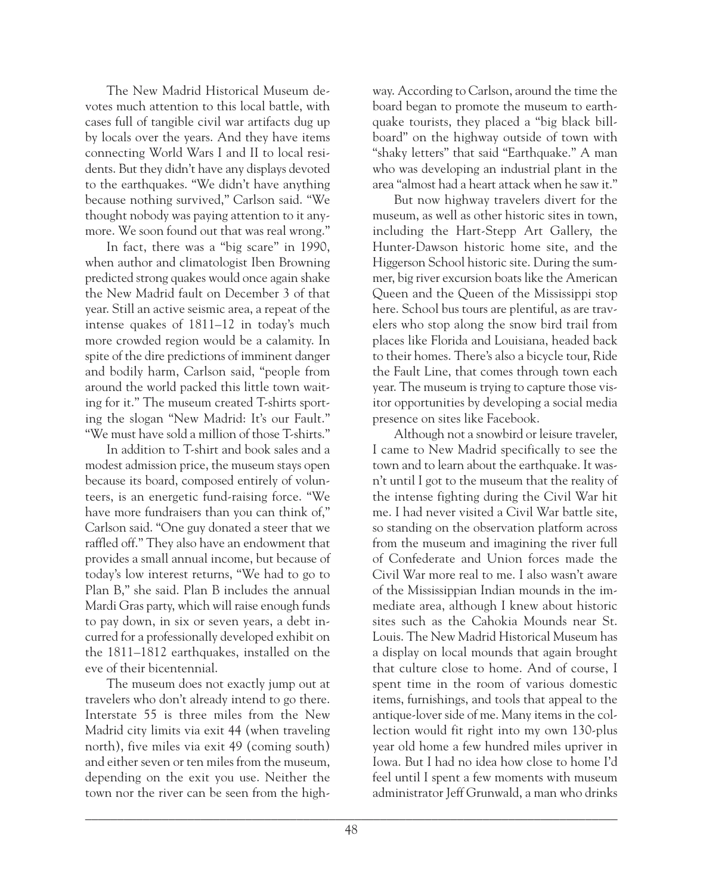The New Madrid Historical Museum devotes much attention to this local battle, with cases full of tangible civil war artifacts dug up by locals over the years. And they have items connecting World Wars I and II to local residents. But they didn't have any displays devoted to the earthquakes. "We didn't have anything because nothing survived," Carlson said. "We thought nobody was paying attention to it anymore. We soon found out that was real wrong."

In fact, there was a "big scare" in 1990, when author and climatologist Iben Browning predicted strong quakes would once again shake the New Madrid fault on December 3 of that year. Still an active seismic area, a repeat of the intense quakes of 1811–12 in today's much more crowded region would be a calamity. In spite of the dire predictions of imminent danger and bodily harm, Carlson said, "people from around the world packed this little town waiting for it." The museum created T-shirts sporting the slogan "New Madrid: It's our Fault." "We must have sold a million of those T-shirts."

In addition to T-shirt and book sales and a modest admission price, the museum stays open because its board, composed entirely of volunteers, is an energetic fund-raising force. "We have more fundraisers than you can think of," Carlson said. "One guy donated a steer that we raffled off." They also have an endowment that provides a small annual income, but because of today's low interest returns, "We had to go to Plan B," she said. Plan B includes the annual Mardi Gras party, which will raise enough funds to pay down, in six or seven years, a debt incurred for a professionally developed exhibit on the 1811–1812 earthquakes, installed on the eve of their bicentennial.

The museum does not exactly jump out at travelers who don't already intend to go there. Interstate 55 is three miles from the New Madrid city limits via exit 44 (when traveling north), five miles via exit 49 (coming south) and either seven or ten miles from the museum, depending on the exit you use. Neither the town nor the river can be seen from the highway. According to Carlson, around the time the board began to promote the museum to earthquake tourists, they placed a "big black billboard" on the highway outside of town with "shaky letters" that said "Earthquake." A man who was developing an industrial plant in the area "almost had a heart attack when he saw it."

But now highway travelers divert for the museum, as well as other historic sites in town, including the Hart-Stepp Art Gallery, the Hunter-Dawson historic home site, and the Higgerson School historic site. During the summer, big river excursion boats like the American Queen and the Queen of the Mississippi stop here. School bus tours are plentiful, as are travelers who stop along the snow bird trail from places like Florida and Louisiana, headed back to their homes. There's also a bicycle tour, Ride the Fault Line, that comes through town each year. The museum is trying to capture those visitor opportunities by developing a social media presence on sites like Facebook.

Although not a snowbird or leisure traveler, I came to New Madrid specifically to see the town and to learn about the earthquake. It wasn't until I got to the museum that the reality of the intense fighting during the Civil War hit me. I had never visited a Civil War battle site, so standing on the observation platform across from the museum and imagining the river full of Confederate and Union forces made the Civil War more real to me. I also wasn't aware of the Mississippian Indian mounds in the immediate area, although I knew about historic sites such as the Cahokia Mounds near St. Louis. The New Madrid Historical Museum has a display on local mounds that again brought that culture close to home. And of course, I spent time in the room of various domestic items, furnishings, and tools that appeal to the antique-lover side of me. Many items in the collection would fit right into my own 130-plus year old home a few hundred miles upriver in Iowa. But I had no idea how close to home I'd feel until I spent a few moments with museum administrator Jeff Grunwald, a man who drinks